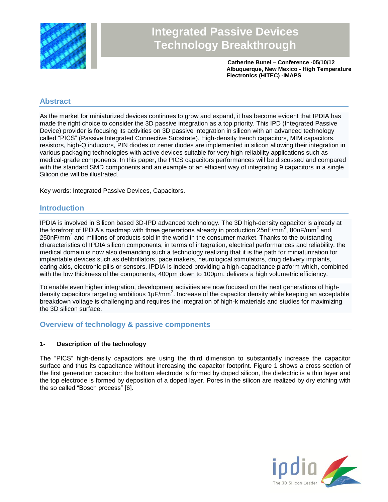

# **Integrated Passive Devices Technology Breakthrough**

**Catherine Bunel – Conference -05/10/12 Albuquerque, New Mexico - High Temperature Electronics (HITEC) -IMAPS**

## **Abstract**

As the market for miniaturized devices continues to grow and expand, it has become evident that IPDIA has made the right choice to consider the 3D passive integration as a top priority. This IPD (Integrated Passive Device) provider is focusing its activities on 3D passive integration in silicon with an advanced technology called "PICS" (Passive Integrated Connective Substrate). High-density trench capacitors, MIM capacitors, resistors, high-Q inductors, PIN diodes or zener diodes are implemented in silicon allowing their integration in various packaging technologies with active devices suitable for very high reliability applications such as medical-grade components. In this paper, the PICS capacitors performances will be discussed and compared with the standard SMD components and an example of an efficient way of integrating 9 capacitors in a single Silicon die will be illustrated.

Key words: Integrated Passive Devices, Capacitors.

## **Introduction**

IPDIA is involved in Silicon based 3D-IPD advanced technology. The 3D high-density capacitor is already at the forefront of IPDIA's roadmap with three generations already in production 25nF/mm<sup>2</sup>, 80nF/mm<sup>2</sup> and 250nF/mm<sup>2</sup> and millions of products sold in the world in the consumer market. Thanks to the outstanding characteristics of IPDIA silicon components, in terms of integration, electrical performances and reliability, the medical domain is now also demanding such a technology realizing that it is the path for miniaturization for implantable devices such as defibrillators, pace makers, neurological stimulators, drug delivery implants, earing aids, electronic pills or sensors. IPDIA is indeed providing a high-capacitance platform which, combined with the low thickness of the components, 400µm down to 100µm, delivers a high volumetric efficiency.

To enable even higher integration, development activities are now focused on the next generations of highdensity capacitors targeting ambitious  $1\mu$ F/mm<sup>2</sup>. Increase of the capacitor density while keeping an acceptable breakdown voltage is challenging and requires the integration of high-k materials and studies for maximizing the 3D silicon surface.

## **Overview of technology & passive components**

#### **1- Description of the technology**

The "PICS" high-density capacitors are using the third dimension to substantially increase the capacitor surface and thus its capacitance without increasing the capacitor footprint. Figure 1 shows a cross section of the first generation capacitor: the bottom electrode is formed by doped silicon, the dielectric is a thin layer and the top electrode is formed by deposition of a doped layer. Pores in the silicon are realized by dry etching with the so called "Bosch process" [6].

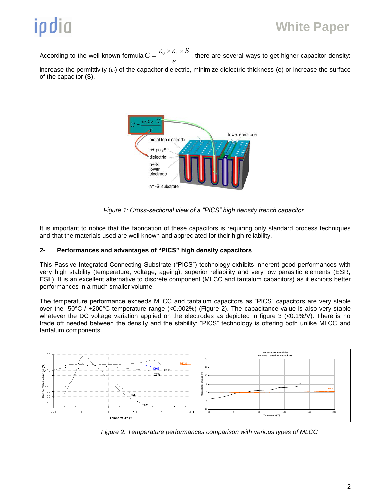According to the well known formula  $C = \frac{-b}{e}$  $C = \frac{{{\mathcal{E}_0} \times {\mathcal{E}_r} \times S}}{{s}}$ , there are several ways to get higher capacitor density:

increase the permittivity  $(\varepsilon_t)$  of the capacitor dielectric, minimize dielectric thickness (e) or increase the surface of the capacitor (S).



*Figure 1: Cross-sectional view of a "PICS" high density trench capacitor*

It is important to notice that the fabrication of these capacitors is requiring only standard process techniques and that the materials used are well known and appreciated for their high reliability.

### **2- Performances and advantages of "PICS" high density capacitors**

This Passive Integrated Connecting Substrate ("PICS") technology exhibits inherent good performances with very high stability (temperature, voltage, ageing), superior reliability and very low parasitic elements (ESR, ESL). It is an excellent alternative to discrete component (MLCC and tantalum capacitors) as it exhibits better performances in a much smaller volume.

The temperature performance exceeds MLCC and tantalum capacitors as "PICS" capacitors are very stable over the -50°C / +200°C temperature range (<0.002%) (Figure 2). The capacitance value is also very stable whatever the DC voltage variation applied on the electrodes as depicted in figure 3 (<0.1%/V). There is no trade off needed between the density and the stability: "PICS" technology is offering both unlike MLCC and tantalum components.



*Figure 2: Temperature performances comparison with various types of MLCC*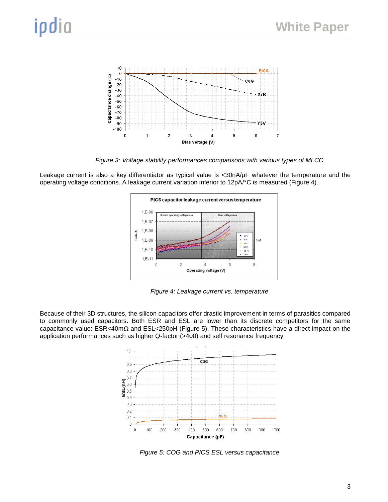

*Figure 3: Voltage stability performances comparisons with various types of MLCC*

Leakage current is also a key differentiator as typical value is <30nA/µF whatever the temperature and the operating voltage conditions. A leakage current variation inferior to 12pA/°C is measured (Figure 4).



*Figure 4: Leakage current vs. temperature*

Because of their 3D structures, the silicon capacitors offer drastic improvement in terms of parasitics compared to commonly used capacitors. Both ESR and ESL are lower than its discrete competitors for the same capacitance value:  $ESR < 40m\Omega$  and  $ESL < 250pH$  (Figure 5). These characteristics have a direct impact on the application performances such as higher Q-factor (>400) and self resonance frequency.



*Figure 5: COG and PICS ESL versus capacitance*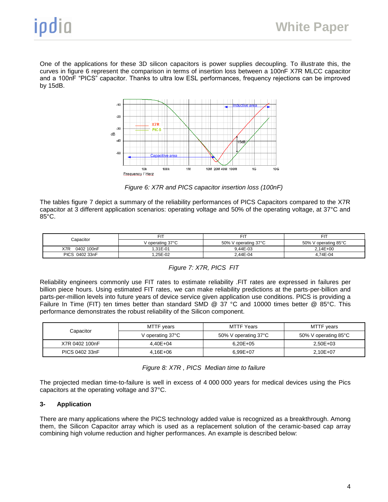One of the applications for these 3D silicon capacitors is power supplies decoupling. To illustrate this, the curves in figure 6 represent the comparison in terms of insertion loss between a 100nF X7R MLCC capacitor and a 100nF "PICS" capacitor. Thanks to ultra low ESL performances, frequency rejections can be improved by 15dB.



*Figure 6: X7R and PICS capacitor insertion loss (100nF)*

The tables figure 7 depict a summary of the reliability performances of PICS Capacitors compared to the X7R capacitor at 3 different application scenarios: operating voltage and 50% of the operating voltage, at 37°C and 85°C.

| Capacitor         |                  | Fľ.                  | FIT                  |
|-------------------|------------------|----------------------|----------------------|
|                   | V operating 37°C | 50% V operating 37°C | 50% V operating 85°C |
| X7R<br>0402 100nF | $.31E - 01$      | 9.44E-03             | $2.14E + 00$         |
| PICS 0402 33nF    | .25E-02          | 2.44E-04             | 4.74E-04             |

#### *Figure 7: X7R, PICS FIT*

Reliability engineers commonly use FIT rates to estimate reliability .FIT rates are expressed in failures per billion piece hours. Using estimated FIT rates, we can make reliability predictions at the parts-per-billion and parts-per-million levels into future years of device service given application use conditions. PICS is providing a Failure In Time (FIT) ten times better than standard SMD @ 37 °C and 10000 times better @ 85°C. This performance demonstrates the robust reliability of the Silicon component.

| Capacitor      | MTTF years       | MTTF Years           | MTTF years           |
|----------------|------------------|----------------------|----------------------|
|                | V operating 37°C | 50% V operating 37°C | 50% V operating 85°C |
| X7R 0402 100nF | $4.40E + 04$     | $6.20E + 05$         | $2.50E + 03$         |
| PICS 0402 33nF | 4.16E+06         | $6.99E + 07$         | $2.10E + 07$         |

The projected median time-to-failure is well in excess of 4 000 000 years for medical devices using the Pics capacitors at the operating voltage and 37°C.

#### **3- Application**

There are many applications where the PICS technology added value is recognized as a breakthrough. Among them, the Silicon Capacitor array which is used as a replacement solution of the ceramic-based cap array combining high volume reduction and higher performances. An example is described below: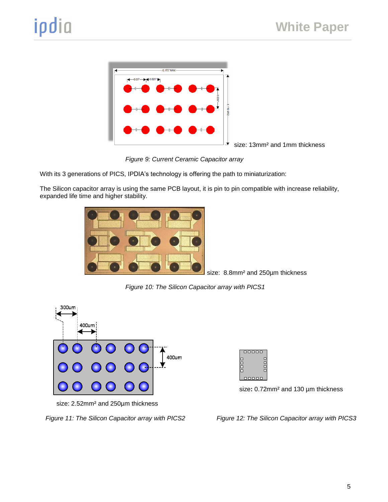

*Figure 9: Current Ceramic Capacitor array*

With its 3 generations of PICS, IPDIA's technology is offering the path to miniaturization:

The Silicon capacitor array is using the same PCB layout, it is pin to pin compatible with increase reliability, expanded life time and higher stability.



size: 8.8mm² and 250µm thickness

*Figure 10: The Silicon Capacitor array with PICS1*





size**:** 0.72mm² and 130 µm thickness

size: 2.52mm² and 250µm thickness

*Figure 11: The Silicon Capacitor array with PICS2 Figure 12: The Silicon Capacitor array with PICS3*